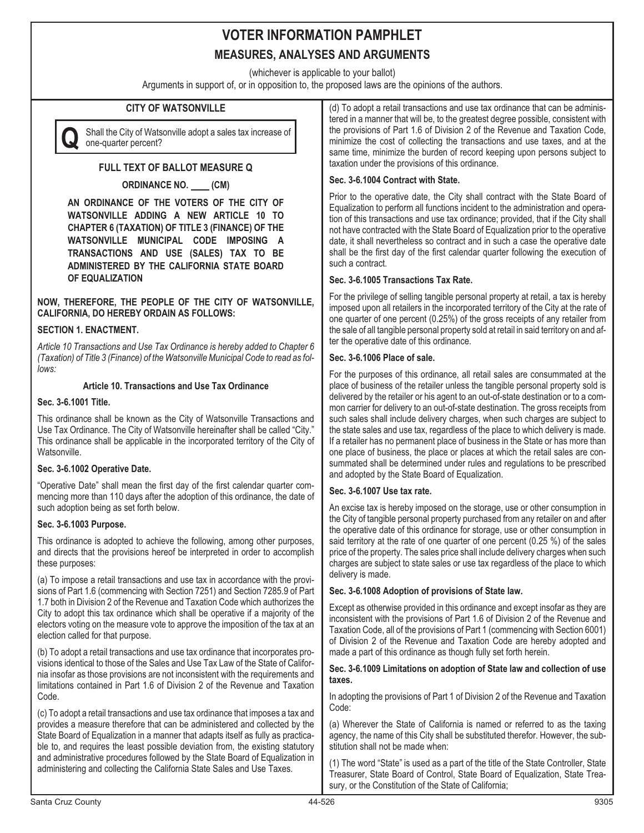(whichever is applicable to your ballot)

Arguments in support of, or in opposition to, the proposed laws are the opinions of the authors.

## **CITY OF WATSONVILLE**



**Q** Shall the City of Watsonville adopt a sales tax increase of one-quarter percent?

## **FULL TEXT OF BALLOT MEASURE Q**

## **ORDINANCE NO. (CM)**

**AN ORDINANCE OF THE VOTERS OF THE CITY OF WATSONVILLE ADDING A NEW ARTICLE 10 TO CHAPTER 6 (TAXATION) OF TITLE 3 (FINANCE) OF THE WATSONVILLE MUNICIPAL CODE IMPOSING A TRANSACTIONS AND USE (SALES) TAX TO BE ADMINISTERED BY THE CALIFORNIA STATE BOARD OF EQUALIZATION**

### **NOW, THEREFORE, THE PEOPLE OF THE CITY OF WATSONVILLE, CALIFORNIA, DO HEREBY ORDAIN AS FOLLOWS:**

## **SECTION 1. ENACTMENT.**

*Article 10 Transactions and Use Tax Ordinance is hereby added to Chapter 6 (Taxation) of Title 3 (Finance) of the Watsonville Municipal Code to read as follows:*

## **Article 10. Transactions and Use Tax Ordinance**

### **Sec. 3-6.1001 Title.**

This ordinance shall be known as the City of Watsonville Transactions and Use Tax Ordinance. The City of Watsonville hereinafter shall be called "City." This ordinance shall be applicable in the incorporated territory of the City of Watsonville.

## **Sec. 3-6.1002 Operative Date.**

"Operative Date" shall mean the first day of the first calendar quarter commencing more than 110 days after the adoption of this ordinance, the date of such adoption being as set forth below.

## **Sec. 3-6.1003 Purpose.**

This ordinance is adopted to achieve the following, among other purposes, and directs that the provisions hereof be interpreted in order to accomplish these purposes:

(a) To impose a retail transactions and use tax in accordance with the provisions of Part 1.6 (commencing with Section 7251) and Section 7285.9 of Part 1.7 both in Division 2 of the Revenue and Taxation Code which authorizes the City to adopt this tax ordinance which shall be operative if a majority of the electors voting on the measure vote to approve the imposition of the tax at an election called for that purpose.

(b) To adopt a retail transactions and use tax ordinance that incorporates provisions identical to those of the Sales and Use Tax Law of the State of California insofar as those provisions are not inconsistent with the requirements and limitations contained in Part 1.6 of Division 2 of the Revenue and Taxation Code.

(c) To adopt a retail transactions and use tax ordinance that imposes a tax and provides a measure therefore that can be administered and collected by the State Board of Equalization in a manner that adapts itself as fully as practicable to, and requires the least possible deviation from, the existing statutory and administrative procedures followed by the State Board of Equalization in administering and collecting the California State Sales and Use Taxes.

(d) To adopt a retail transactions and use tax ordinance that can be administered in a manner that will be, to the greatest degree possible, consistent with the provisions of Part 1.6 of Division 2 of the Revenue and Taxation Code, minimize the cost of collecting the transactions and use taxes, and at the same time, minimize the burden of record keeping upon persons subject to taxation under the provisions of this ordinance.

## **Sec. 3-6.1004 Contract with State.**

Prior to the operative date, the City shall contract with the State Board of Equalization to perform all functions incident to the administration and operation of this transactions and use tax ordinance; provided, that if the City shall not have contracted with the State Board of Equalization prior to the operative date, it shall nevertheless so contract and in such a case the operative date shall be the first day of the first calendar quarter following the execution of such a contract.

## **Sec. 3-6.1005 Transactions Tax Rate.**

For the privilege of selling tangible personal property at retail, a tax is hereby imposed upon all retailers in the incorporated territory of the City at the rate of one quarter of one percent (0.25%) of the gross receipts of any retailer from the sale of all tangible personal property sold at retail in said territory on and after the operative date of this ordinance.

## **Sec. 3-6.1006 Place of sale.**

For the purposes of this ordinance, all retail sales are consummated at the place of business of the retailer unless the tangible personal property sold is delivered by the retailer or his agent to an out-of-state destination or to a common carrier for delivery to an out-of-state destination. The gross receipts from such sales shall include delivery charges, when such charges are subject to the state sales and use tax, regardless of the place to which delivery is made. If a retailer has no permanent place of business in the State or has more than one place of business, the place or places at which the retail sales are consummated shall be determined under rules and regulations to be prescribed and adopted by the State Board of Equalization.

#### **Sec. 3-6.1007 Use tax rate.**

An excise tax is hereby imposed on the storage, use or other consumption in the City of tangible personal property purchased from any retailer on and after the operative date of this ordinance for storage, use or other consumption in said territory at the rate of one quarter of one percent (0.25 %) of the sales price of the property. The sales price shall include delivery charges when such charges are subject to state sales or use tax regardless of the place to which delivery is made.

#### **Sec. 3-6.1008 Adoption of provisions of State law.**

Except as otherwise provided in this ordinance and except insofar as they are inconsistent with the provisions of Part 1.6 of Division 2 of the Revenue and Taxation Code, all of the provisions of Part 1 (commencing with Section 6001) of Division 2 of the Revenue and Taxation Code are hereby adopted and made a part of this ordinance as though fully set forth herein.

#### **Sec. 3-6.1009 Limitations on adoption of State law and collection of use taxes.**

In adopting the provisions of Part 1 of Division 2 of the Revenue and Taxation Code:

(a) Wherever the State of California is named or referred to as the taxing agency, the name of this City shall be substituted therefor. However, the substitution shall not be made when:

(1) The word "State" is used as a part of the title of the State Controller, State Treasurer, State Board of Control, State Board of Equalization, State Treasury, or the Constitution of the State of California;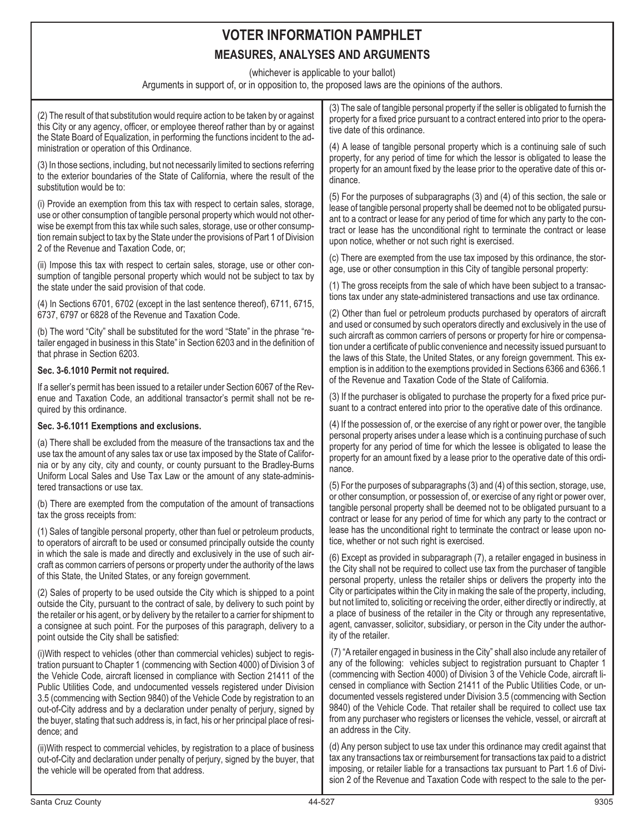(whichever is applicable to your ballot)

Arguments in support of, or in opposition to, the proposed laws are the opinions of the authors.

| (2) The result of that substitution would require action to be taken by or against<br>this City or any agency, officer, or employee thereof rather than by or against<br>the State Board of Equalization, in performing the functions incident to the ad-                                                                                                                                                                                                                                                                                                                                           | (3) The sale of tangible personal property if the seller is obligated to furnish the<br>property for a fixed price pursuant to a contract entered into prior to the opera-<br>tive date of this ordinance.                                                                                                                                                                                                                                                                                                                                                                                                         |
|-----------------------------------------------------------------------------------------------------------------------------------------------------------------------------------------------------------------------------------------------------------------------------------------------------------------------------------------------------------------------------------------------------------------------------------------------------------------------------------------------------------------------------------------------------------------------------------------------------|--------------------------------------------------------------------------------------------------------------------------------------------------------------------------------------------------------------------------------------------------------------------------------------------------------------------------------------------------------------------------------------------------------------------------------------------------------------------------------------------------------------------------------------------------------------------------------------------------------------------|
| ministration or operation of this Ordinance.<br>(3) In those sections, including, but not necessarily limited to sections referring<br>to the exterior boundaries of the State of California, where the result of the                                                                                                                                                                                                                                                                                                                                                                               | (4) A lease of tangible personal property which is a continuing sale of such<br>property, for any period of time for which the lessor is obligated to lease the<br>property for an amount fixed by the lease prior to the operative date of this or-<br>dinance.                                                                                                                                                                                                                                                                                                                                                   |
| substitution would be to:<br>(i) Provide an exemption from this tax with respect to certain sales, storage,<br>use or other consumption of tangible personal property which would not other-<br>wise be exempt from this tax while such sales, storage, use or other consump-<br>tion remain subject to tax by the State under the provisions of Part 1 of Division<br>2 of the Revenue and Taxation Code, or;                                                                                                                                                                                      | (5) For the purposes of subparagraphs (3) and (4) of this section, the sale or<br>lease of tangible personal property shall be deemed not to be obligated pursu-<br>ant to a contract or lease for any period of time for which any party to the con-<br>tract or lease has the unconditional right to terminate the contract or lease<br>upon notice, whether or not such right is exercised.                                                                                                                                                                                                                     |
| (ii) Impose this tax with respect to certain sales, storage, use or other con-<br>sumption of tangible personal property which would not be subject to tax by<br>the state under the said provision of that code.                                                                                                                                                                                                                                                                                                                                                                                   | (c) There are exempted from the use tax imposed by this ordinance, the stor-<br>age, use or other consumption in this City of tangible personal property:<br>(1) The gross receipts from the sale of which have been subject to a transac-                                                                                                                                                                                                                                                                                                                                                                         |
| (4) In Sections 6701, 6702 (except in the last sentence thereof), 6711, 6715,<br>6737, 6797 or 6828 of the Revenue and Taxation Code.                                                                                                                                                                                                                                                                                                                                                                                                                                                               | tions tax under any state-administered transactions and use tax ordinance.<br>(2) Other than fuel or petroleum products purchased by operators of aircraft                                                                                                                                                                                                                                                                                                                                                                                                                                                         |
| (b) The word "City" shall be substituted for the word "State" in the phrase "re-<br>tailer engaged in business in this State" in Section 6203 and in the definition of<br>that phrase in Section 6203.                                                                                                                                                                                                                                                                                                                                                                                              | and used or consumed by such operators directly and exclusively in the use of<br>such aircraft as common carriers of persons or property for hire or compensa-<br>tion under a certificate of public convenience and necessity issued pursuant to<br>the laws of this State, the United States, or any foreign government. This ex-                                                                                                                                                                                                                                                                                |
| Sec. 3-6.1010 Permit not required.                                                                                                                                                                                                                                                                                                                                                                                                                                                                                                                                                                  | emption is in addition to the exemptions provided in Sections 6366 and 6366.1                                                                                                                                                                                                                                                                                                                                                                                                                                                                                                                                      |
| If a seller's permit has been issued to a retailer under Section 6067 of the Rev-<br>enue and Taxation Code, an additional transactor's permit shall not be re-<br>quired by this ordinance.                                                                                                                                                                                                                                                                                                                                                                                                        | of the Revenue and Taxation Code of the State of California.<br>(3) If the purchaser is obligated to purchase the property for a fixed price pur-<br>suant to a contract entered into prior to the operative date of this ordinance.                                                                                                                                                                                                                                                                                                                                                                               |
| Sec. 3-6.1011 Exemptions and exclusions.                                                                                                                                                                                                                                                                                                                                                                                                                                                                                                                                                            | (4) If the possession of, or the exercise of any right or power over, the tangible                                                                                                                                                                                                                                                                                                                                                                                                                                                                                                                                 |
| (a) There shall be excluded from the measure of the transactions tax and the<br>use tax the amount of any sales tax or use tax imposed by the State of Califor-<br>nia or by any city, city and county, or county pursuant to the Bradley-Burns<br>Uniform Local Sales and Use Tax Law or the amount of any state-adminis-                                                                                                                                                                                                                                                                          | personal property arises under a lease which is a continuing purchase of such<br>property for any period of time for which the lessee is obligated to lease the<br>property for an amount fixed by a lease prior to the operative date of this ordi-<br>nance.                                                                                                                                                                                                                                                                                                                                                     |
| tered transactions or use tax.                                                                                                                                                                                                                                                                                                                                                                                                                                                                                                                                                                      | (5) For the purposes of subparagraphs (3) and (4) of this section, storage, use,<br>or other consumption, or possession of, or exercise of any right or power over,                                                                                                                                                                                                                                                                                                                                                                                                                                                |
| (b) There are exempted from the computation of the amount of transactions<br>tax the gross receipts from:                                                                                                                                                                                                                                                                                                                                                                                                                                                                                           | tangible personal property shall be deemed not to be obligated pursuant to a<br>contract or lease for any period of time for which any party to the contract or<br>lease has the unconditional right to terminate the contract or lease upon no-                                                                                                                                                                                                                                                                                                                                                                   |
| (1) Sales of tangible personal property, other than fuel or petroleum products,<br>to operators of aircraft to be used or consumed principally outside the county                                                                                                                                                                                                                                                                                                                                                                                                                                   | tice, whether or not such right is exercised.                                                                                                                                                                                                                                                                                                                                                                                                                                                                                                                                                                      |
| in which the sale is made and directly and exclusively in the use of such air-<br>craft as common carriers of persons or property under the authority of the laws<br>of this State, the United States, or any foreign government.                                                                                                                                                                                                                                                                                                                                                                   | (6) Except as provided in subparagraph (7), a retailer engaged in business in<br>the City shall not be required to collect use tax from the purchaser of tangible<br>personal property, unless the retailer ships or delivers the property into the                                                                                                                                                                                                                                                                                                                                                                |
| (2) Sales of property to be used outside the City which is shipped to a point<br>outside the City, pursuant to the contract of sale, by delivery to such point by<br>the retailer or his agent, or by delivery by the retailer to a carrier for shipment to<br>a consignee at such point. For the purposes of this paragraph, delivery to a<br>point outside the City shall be satisfied:                                                                                                                                                                                                           | City or participates within the City in making the sale of the property, including,<br>but not limited to, soliciting or receiving the order, either directly or indirectly, at<br>a place of business of the retailer in the City or through any representative,<br>agent, canvasser, solicitor, subsidiary, or person in the City under the author-<br>ity of the retailer.                                                                                                                                                                                                                                      |
| (i) With respect to vehicles (other than commercial vehicles) subject to regis-<br>tration pursuant to Chapter 1 (commencing with Section 4000) of Division 3 of<br>the Vehicle Code, aircraft licensed in compliance with Section 21411 of the<br>Public Utilities Code, and undocumented vessels registered under Division<br>3.5 (commencing with Section 9840) of the Vehicle Code by registration to an<br>out-of-City address and by a declaration under penalty of perjury, signed by<br>the buyer, stating that such address is, in fact, his or her principal place of resi-<br>dence; and | (7) "A retailer engaged in business in the City" shall also include any retailer of<br>any of the following: vehicles subject to registration pursuant to Chapter 1<br>(commencing with Section 4000) of Division 3 of the Vehicle Code, aircraft li-<br>censed in compliance with Section 21411 of the Public Utilities Code, or un-<br>documented vessels registered under Division 3.5 (commencing with Section<br>9840) of the Vehicle Code. That retailer shall be required to collect use tax<br>from any purchaser who registers or licenses the vehicle, vessel, or aircraft at<br>an address in the City. |
| (ii) With respect to commercial vehicles, by registration to a place of business<br>out-of-City and declaration under penalty of perjury, signed by the buyer, that<br>the vehicle will be operated from that address.                                                                                                                                                                                                                                                                                                                                                                              | (d) Any person subject to use tax under this ordinance may credit against that<br>tax any transactions tax or reimbursement for transactions tax paid to a district<br>imposing, or retailer liable for a transactions tax pursuant to Part 1.6 of Divi-<br>sion 2 of the Revenue and Taxation Code with respect to the sale to the per-                                                                                                                                                                                                                                                                           |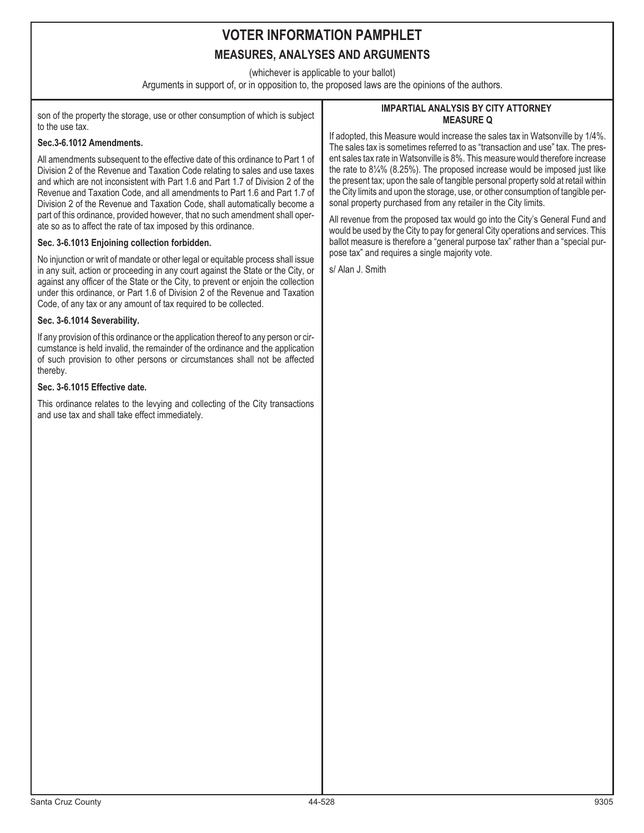(whichever is applicable to your ballot)

Arguments in support of, or in opposition to, the proposed laws are the opinions of the authors.

son of the property the storage, use or other consumption of which is subject to the use tax.

## **Sec.3-6.1012 Amendments.**

All amendments subsequent to the effective date of this ordinance to Part 1 of Division 2 of the Revenue and Taxation Code relating to sales and use taxes and which are not inconsistent with Part 1.6 and Part 1.7 of Division 2 of the Revenue and Taxation Code, and all amendments to Part 1.6 and Part 1.7 of Division 2 of the Revenue and Taxation Code, shall automatically become a part of this ordinance, provided however, that no such amendment shall operate so as to affect the rate of tax imposed by this ordinance.

## **Sec. 3-6.1013 Enjoining collection forbidden.**

No injunction or writ of mandate or other legal or equitable process shall issue in any suit, action or proceeding in any court against the State or the City, or against any officer of the State or the City, to prevent or enjoin the collection under this ordinance, or Part 1.6 of Division 2 of the Revenue and Taxation Code, of any tax or any amount of tax required to be collected.

## **Sec. 3-6.1014 Severability.**

If any provision of this ordinance or the application thereof to any person or circumstance is held invalid, the remainder of the ordinance and the application of such provision to other persons or circumstances shall not be affected thereby.

### **Sec. 3-6.1015 Effective date.**

This ordinance relates to the levying and collecting of the City transactions and use tax and shall take effect immediately.

#### **IMPARTIAL ANALYSIS BY CITY ATTORNEY MEASURE Q**

If adopted, this Measure would increase the sales tax in Watsonville by 1/4%. The sales tax is sometimes referred to as "transaction and use" tax. The present sales tax rate in Watsonville is 8%. This measure would therefore increase the rate to 8¼% (8.25%). The proposed increase would be imposed just like the present tax; upon the sale of tangible personal property sold at retail within the City limits and upon the storage, use, or other consumption of tangible personal property purchased from any retailer in the City limits.

All revenue from the proposed tax would go into the City's General Fund and would be used by the City to pay for general City operations and services. This ballot measure is therefore a "general purpose tax" rather than a "special purpose tax" and requires a single majority vote.

s/ Alan J. Smith